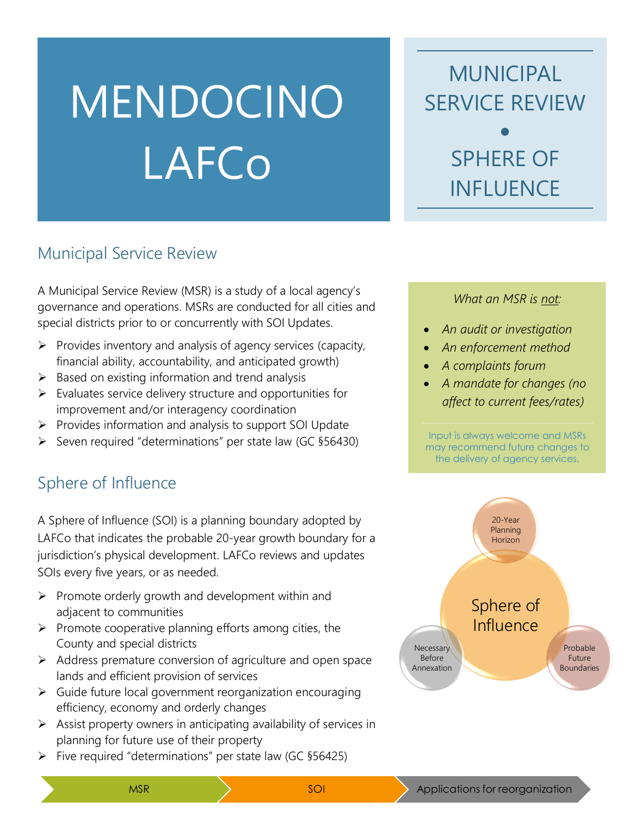# MENDOCINO LAFCo

MUNICIPAL SERVICE REVIEW • SPHERE OF INFLUENCE

#### Municipal Service Review

A Municipal Service Review (MSR) is a study of a local agency's governance and operations. MSRs are conducted for all cities and special districts prior to or concurrently with SOI Updates.

- $\triangleright$  Provides inventory and analysis of agency services (capacity, financial ability, accountability, and anticipated growth)
- $\triangleright$  Based on existing information and trend analysis
- $\triangleright$  Evaluates service delivery structure and opportunities for improvement and/or interagency coordination
- ➢ Provides information and analysis to support SOI Update
- ➢ Seven required "determinations" per state law (GC §56430)

### Sphere of Influence

A Sphere of Influence (SOI) is a planning boundary adopted by LAFCo that indicates the probable 20-year growth boundary for a jurisdiction's physical development. LAFCo reviews and updates SOIs every five years, or as needed.

- ➢ Promote orderly growth and development within and adjacent to communities
- $\triangleright$  Promote cooperative planning efforts among cities, the County and special districts
- ➢ Address premature conversion of agriculture and open space lands and efficient provision of services
- ➢ Guide future local government reorganization encouraging efficiency, economy and orderly changes
- $\triangleright$  Assist property owners in anticipating availability of services in planning for future use of their property
- $\triangleright$  Five required "determinations" per state law (GC §56425)

#### *What an MSR is not:*

- *An audit or investigation*
- *An enforcement method*
- *A complaints forum*
- *A mandate for changes (no affect to current fees/rates)*

Input is always welcome and MSRs may recommend future changes to the delivery of agency services.